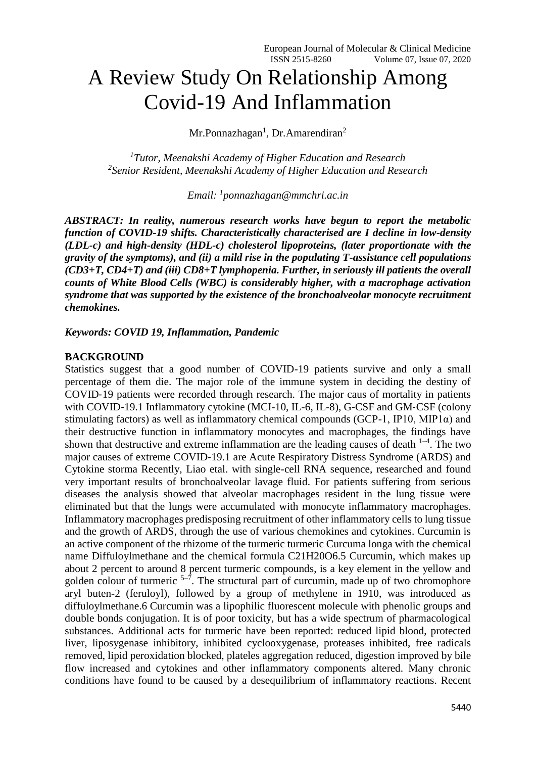# A Review Study On Relationship Among Covid-19 And Inflammation

Mr.Ponnazhagan<sup>1</sup>, Dr.Amarendiran<sup>2</sup>

*<sup>1</sup>Tutor, Meenakshi Academy of Higher Education and Research 2 Senior Resident, Meenakshi Academy of Higher Education and Research*

*Email: <sup>1</sup> ponnazhagan@mmchri.ac.in*

*ABSTRACT: In reality, numerous research works have begun to report the metabolic function of COVID-19 shifts. Characteristically characterised are I decline in low-density (LDL-c) and high-density (HDL-c) cholesterol lipoproteins, (later proportionate with the gravity of the symptoms), and (ii) a mild rise in the populating T-assistance cell populations (CD3+T, CD4+T) and (iii) CD8+T lymphopenia. Further, in seriously ill patients the overall counts of White Blood Cells (WBC) is considerably higher, with a macrophage activation syndrome that was supported by the existence of the bronchoalveolar monocyte recruitment chemokines.*

## *Keywords: COVID 19, Inflammation, Pandemic*

### **BACKGROUND**

Statistics suggest that a good number of COVID-19 patients survive and only a small percentage of them die. The major role of the immune system in deciding the destiny of COVID‐19 patients were recorded through research. The major caus of mortality in patients with COVID-19.1 Inflammatory cytokine (MCI-10, IL-6, IL-8), G-CSF and GM-CSF (colony stimulating factors) as well as inflammatory chemical compounds (GCP-1, IP10, MIP1 $\alpha$ ) and their destructive function in inflammatory monocytes and macrophages, the findings have shown that destructive and extreme inflammation are the leading causes of death  $1-4$ . The two major causes of extreme COVID‐19.1 are Acute Respiratory Distress Syndrome (ARDS) and Cytokine storma Recently, Liao etal. with single-cell RNA sequence, researched and found very important results of bronchoalveolar lavage fluid. For patients suffering from serious diseases the analysis showed that alveolar macrophages resident in the lung tissue were eliminated but that the lungs were accumulated with monocyte inflammatory macrophages. Inflammatory macrophages predisposing recruitment of other inflammatory cells to lung tissue and the growth of ARDS, through the use of various chemokines and cytokines. Curcumin is an active component of the rhizome of the turmeric turmeric Curcuma longa with the chemical name Diffuloylmethane and the chemical formula C21H20O6.5 Curcumin, which makes up about 2 percent to around 8 percent turmeric compounds, is a key element in the yellow and golden colour of turmeric  $5-7$ . The structural part of curcumin, made up of two chromophore aryl buten-2 (feruloyl), followed by a group of methylene in 1910, was introduced as diffuloylmethane.6 Curcumin was a lipophilic fluorescent molecule with phenolic groups and double bonds conjugation. It is of poor toxicity, but has a wide spectrum of pharmacological substances. Additional acts for turmeric have been reported: reduced lipid blood, protected liver, liposygenase inhibitory, inhibited cyclooxygenase, proteases inhibited, free radicals removed, lipid peroxidation blocked, plateles aggregation reduced, digestion improved by bile flow increased and cytokines and other inflammatory components altered. Many chronic conditions have found to be caused by a desequilibrium of inflammatory reactions. Recent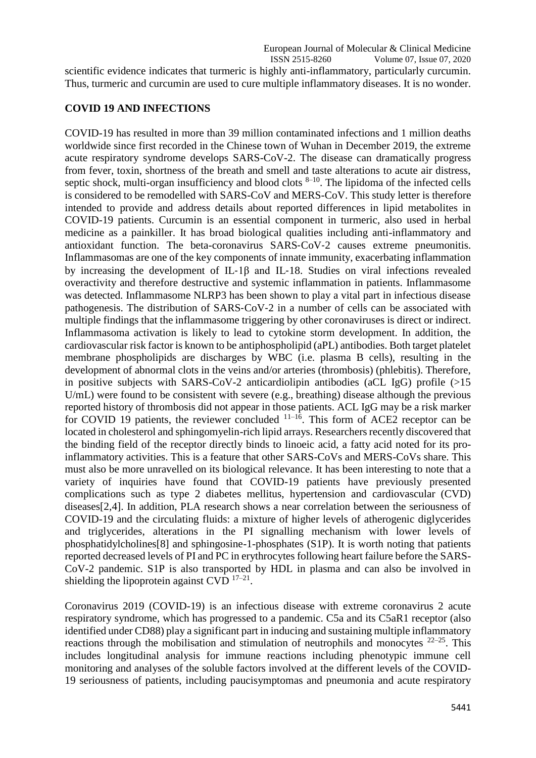scientific evidence indicates that turmeric is highly anti-inflammatory, particularly curcumin. Thus, turmeric and curcumin are used to cure multiple inflammatory diseases. It is no wonder.

# **COVID 19 AND INFECTIONS**

COVID-19 has resulted in more than 39 million contaminated infections and 1 million deaths worldwide since first recorded in the Chinese town of Wuhan in December 2019, the extreme acute respiratory syndrome develops SARS-CoV-2. The disease can dramatically progress from fever, toxin, shortness of the breath and smell and taste alterations to acute air distress, septic shock, multi-organ insufficiency and blood clots  $8-10$ . The lipidoma of the infected cells is considered to be remodelled with SARS-CoV and MERS-CoV. This study letter is therefore intended to provide and address details about reported differences in lipid metabolites in COVID-19 patients. Curcumin is an essential component in turmeric, also used in herbal medicine as a painkiller. It has broad biological qualities including anti-inflammatory and antioxidant function. The beta-coronavirus SARS‐CoV‐2 causes extreme pneumonitis. Inflammasomas are one of the key components of innate immunity, exacerbating inflammation by increasing the development of IL‐1β and IL‐18. Studies on viral infections revealed overactivity and therefore destructive and systemic inflammation in patients. Inflammasome was detected. Inflammasome NLRP3 has been shown to play a vital part in infectious disease pathogenesis. The distribution of SARS‐CoV‐2 in a number of cells can be associated with multiple findings that the inflammasome triggering by other coronaviruses is direct or indirect. Inflammasoma activation is likely to lead to cytokine storm development. In addition, the cardiovascular risk factor is known to be antiphospholipid (aPL) antibodies. Both target platelet membrane phospholipids are discharges by WBC (i.e. plasma B cells), resulting in the development of abnormal clots in the veins and/or arteries (thrombosis) (phlebitis). Therefore, in positive subjects with SARS-CoV-2 anticardiolipin antibodies (aCL IgG) profile  $(>15$ U/mL) were found to be consistent with severe (e.g., breathing) disease although the previous reported history of thrombosis did not appear in those patients. ACL IgG may be a risk marker for COVID 19 patients, the reviewer concluded  $11-16$ . This form of ACE2 receptor can be located in cholesterol and sphingomyelin-rich lipid arrays. Researchers recently discovered that the binding field of the receptor directly binds to linoeic acid, a fatty acid noted for its proinflammatory activities. This is a feature that other SARS-CoVs and MERS-CoVs share. This must also be more unravelled on its biological relevance. It has been interesting to note that a variety of inquiries have found that COVID-19 patients have previously presented complications such as type 2 diabetes mellitus, hypertension and cardiovascular (CVD) diseases[2,4]. In addition, PLA research shows a near correlation between the seriousness of COVID-19 and the circulating fluids: a mixture of higher levels of atherogenic diglycerides and triglycerides, alterations in the PI signalling mechanism with lower levels of phosphatidylcholines[8] and sphingosine-1-phosphates (S1P). It is worth noting that patients reported decreased levels of PI and PC in erythrocytes following heart failure before the SARS-CoV-2 pandemic. S1P is also transported by HDL in plasma and can also be involved in shielding the lipoprotein against  $CVD$   $^{17-21}$ .

Coronavirus 2019 (COVID-19) is an infectious disease with extreme coronavirus 2 acute respiratory syndrome, which has progressed to a pandemic. C5a and its C5aR1 receptor (also identified under CD88) play a significant part in inducing and sustaining multiple inflammatory reactions through the mobilisation and stimulation of neutrophils and monocytes  $22-25$ . This includes longitudinal analysis for immune reactions including phenotypic immune cell monitoring and analyses of the soluble factors involved at the different levels of the COVID-19 seriousness of patients, including paucisymptomas and pneumonia and acute respiratory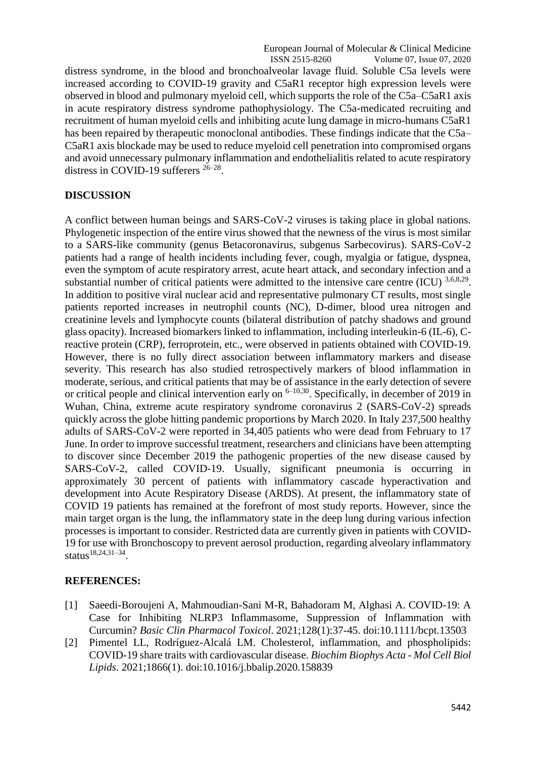distress syndrome, in the blood and bronchoalveolar lavage fluid. Soluble C5a levels were increased according to COVID-19 gravity and C5aR1 receptor high expression levels were observed in blood and pulmonary myeloid cell, which supports the role of the C5a–C5aR1 axis in acute respiratory distress syndrome pathophysiology. The C5a-medicated recruiting and recruitment of human myeloid cells and inhibiting acute lung damage in micro-humans C5aR1 has been repaired by therapeutic monoclonal antibodies. These findings indicate that the C5a– C5aR1 axis blockade may be used to reduce myeloid cell penetration into compromised organs and avoid unnecessary pulmonary inflammation and endothelialitis related to acute respiratory distress in COVID-19 sufferers  $26-28$ .

## **DISCUSSION**

A conflict between human beings and SARS-CoV-2 viruses is taking place in global nations. Phylogenetic inspection of the entire virus showed that the newness of the virus is most similar to a SARS-like community (genus Betacoronavirus, subgenus Sarbecovirus). SARS-CoV-2 patients had a range of health incidents including fever, cough, myalgia or fatigue, dyspnea, even the symptom of acute respiratory arrest, acute heart attack, and secondary infection and a substantial number of critical patients were admitted to the intensive care centre  $(ICU)^{3,6,8,29}$ . In addition to positive viral nuclear acid and representative pulmonary CT results, most single patients reported increases in neutrophil counts (NC), D-dimer, blood urea nitrogen and creatinine levels and lymphocyte counts (bilateral distribution of patchy shadows and ground glass opacity). Increased biomarkers linked to inflammation, including interleukin-6 (IL-6), Creactive protein (CRP), ferroprotein, etc., were observed in patients obtained with COVID-19. However, there is no fully direct association between inflammatory markers and disease severity. This research has also studied retrospectively markers of blood inflammation in moderate, serious, and critical patients that may be of assistance in the early detection of severe or critical people and clinical intervention early on  $6-10,30$ . Specifically, in december of 2019 in Wuhan, China, extreme acute respiratory syndrome coronavirus 2 (SARS-CoV-2) spreads quickly across the globe hitting pandemic proportions by March 2020. In Italy 237,500 healthy adults of SARS-CoV-2 were reported in 34,405 patients who were dead from February to 17 June. In order to improve successful treatment, researchers and clinicians have been attempting to discover since December 2019 the pathogenic properties of the new disease caused by SARS-CoV-2, called COVID-19. Usually, significant pneumonia is occurring in approximately 30 percent of patients with inflammatory cascade hyperactivation and development into Acute Respiratory Disease (ARDS). At present, the inflammatory state of COVID 19 patients has remained at the forefront of most study reports. However, since the main target organ is the lung, the inflammatory state in the deep lung during various infection processes is important to consider. Restricted data are currently given in patients with COVID-19 for use with Bronchoscopy to prevent aerosol production, regarding alveolary inflammatory status<sup>18,24,31–34</sup>.

#### **REFERENCES:**

- [1] Saeedi-Boroujeni A, Mahmoudian-Sani M-R, Bahadoram M, Alghasi A. COVID-19: A Case for Inhibiting NLRP3 Inflammasome, Suppression of Inflammation with Curcumin? *Basic Clin Pharmacol Toxicol*. 2021;128(1):37-45. doi:10.1111/bcpt.13503
- [2] Pimentel LL, Rodríguez-Alcalá LM. Cholesterol, inflammation, and phospholipids: COVID-19 share traits with cardiovascular disease. *Biochim Biophys Acta - Mol Cell Biol Lipids*. 2021;1866(1). doi:10.1016/j.bbalip.2020.158839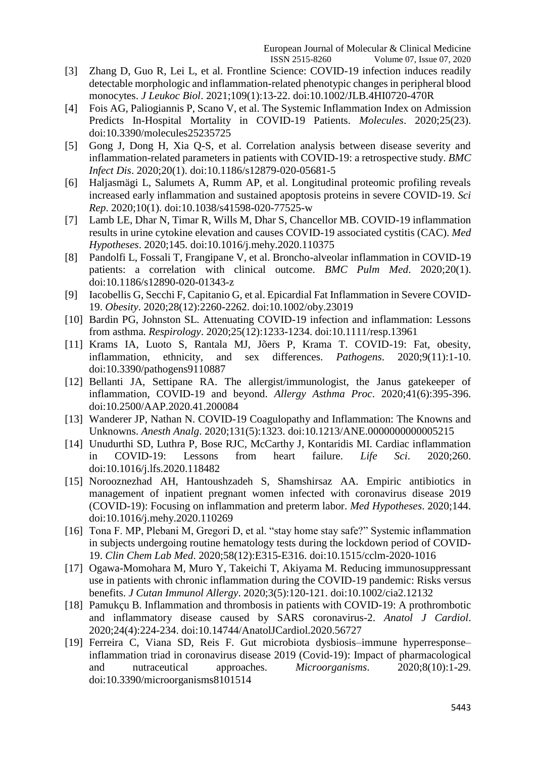- [3] Zhang D, Guo R, Lei L, et al. Frontline Science: COVID-19 infection induces readily detectable morphologic and inflammation-related phenotypic changes in peripheral blood monocytes. *J Leukoc Biol*. 2021;109(1):13-22. doi:10.1002/JLB.4HI0720-470R
- [4] Fois AG, Paliogiannis P, Scano V, et al. The Systemic Inflammation Index on Admission Predicts In-Hospital Mortality in COVID-19 Patients. *Molecules*. 2020;25(23). doi:10.3390/molecules25235725
- [5] Gong J, Dong H, Xia Q-S, et al. Correlation analysis between disease severity and inflammation-related parameters in patients with COVID-19: a retrospective study. *BMC Infect Dis*. 2020;20(1). doi:10.1186/s12879-020-05681-5
- [6] Haljasmägi L, Salumets A, Rumm AP, et al. Longitudinal proteomic profiling reveals increased early inflammation and sustained apoptosis proteins in severe COVID-19. *Sci Rep*. 2020;10(1). doi:10.1038/s41598-020-77525-w
- [7] Lamb LE, Dhar N, Timar R, Wills M, Dhar S, Chancellor MB. COVID-19 inflammation results in urine cytokine elevation and causes COVID-19 associated cystitis (CAC). *Med Hypotheses*. 2020;145. doi:10.1016/j.mehy.2020.110375
- [8] Pandolfi L, Fossali T, Frangipane V, et al. Broncho-alveolar inflammation in COVID-19 patients: a correlation with clinical outcome. *BMC Pulm Med*. 2020;20(1). doi:10.1186/s12890-020-01343-z
- [9] Iacobellis G, Secchi F, Capitanio G, et al. Epicardial Fat Inflammation in Severe COVID-19. *Obesity*. 2020;28(12):2260-2262. doi:10.1002/oby.23019
- [10] Bardin PG, Johnston SL. Attenuating COVID-19 infection and inflammation: Lessons from asthma. *Respirology*. 2020;25(12):1233-1234. doi:10.1111/resp.13961
- [11] Krams IA, Luoto S, Rantala MJ, Jõers P, Krama T. COVID-19: Fat, obesity, inflammation, ethnicity, and sex differences. *Pathogens*. 2020;9(11):1-10. doi:10.3390/pathogens9110887
- [12] Bellanti JA, Settipane RA. The allergist/immunologist, the Janus gatekeeper of inflammation, COVID-19 and beyond. *Allergy Asthma Proc*. 2020;41(6):395-396. doi:10.2500/AAP.2020.41.200084
- [13] Wanderer JP, Nathan N. COVID-19 Coagulopathy and Inflammation: The Knowns and Unknowns. *Anesth Analg*. 2020;131(5):1323. doi:10.1213/ANE.0000000000005215
- [14] Unudurthi SD, Luthra P, Bose RJC, McCarthy J, Kontaridis MI. Cardiac inflammation in COVID-19: Lessons from heart failure. *Life Sci*. 2020;260. doi:10.1016/j.lfs.2020.118482
- [15] Norooznezhad AH, Hantoushzadeh S, Shamshirsaz AA. Empiric antibiotics in management of inpatient pregnant women infected with coronavirus disease 2019 (COVID-19): Focusing on inflammation and preterm labor. *Med Hypotheses*. 2020;144. doi:10.1016/j.mehy.2020.110269
- [16] Tona F. MP, Plebani M, Gregori D, et al. "stay home stay safe?" Systemic inflammation in subjects undergoing routine hematology tests during the lockdown period of COVID-19. *Clin Chem Lab Med*. 2020;58(12):E315-E316. doi:10.1515/cclm-2020-1016
- [17] Ogawa-Momohara M, Muro Y, Takeichi T, Akiyama M. Reducing immunosuppressant use in patients with chronic inflammation during the COVID-19 pandemic: Risks versus benefits. *J Cutan Immunol Allergy*. 2020;3(5):120-121. doi:10.1002/cia2.12132
- [18] Pamukçu B. Inflammation and thrombosis in patients with COVID-19: A prothrombotic and inflammatory disease caused by SARS coronavirus-2. *Anatol J Cardiol*. 2020;24(4):224-234. doi:10.14744/AnatolJCardiol.2020.56727
- [19] Ferreira C, Viana SD, Reis F. Gut microbiota dysbiosis–immune hyperresponse– inflammation triad in coronavirus disease 2019 (Covid-19): Impact of pharmacological and nutraceutical approaches. *Microorganisms*. 2020;8(10):1-29. doi:10.3390/microorganisms8101514